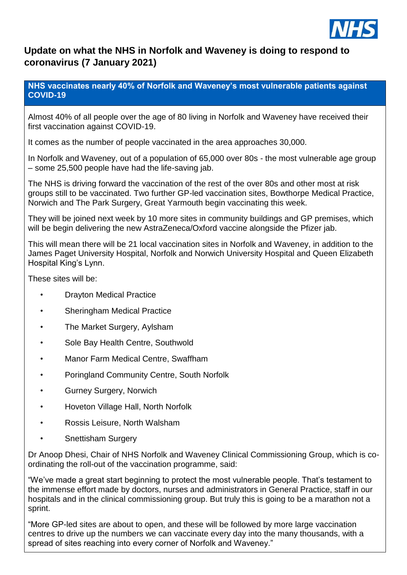

## **Update on what the NHS in Norfolk and Waveney is doing to respond to coronavirus (7 January 2021)**

**NHS vaccinates nearly 40% of Norfolk and Waveney's most vulnerable patients against COVID-19**

Almost 40% of all people over the age of 80 living in Norfolk and Waveney have received their first vaccination against COVID-19.

It comes as the number of people vaccinated in the area approaches 30,000.

In Norfolk and Waveney, out of a population of 65,000 over 80s - the most vulnerable age group – some 25,500 people have had the life-saving jab.

The NHS is driving forward the vaccination of the rest of the over 80s and other most at risk groups still to be vaccinated. Two further GP-led vaccination sites, Bowthorpe Medical Practice, Norwich and The Park Surgery, Great Yarmouth begin vaccinating this week.

They will be joined next week by 10 more sites in community buildings and GP premises, which will be begin delivering the new AstraZeneca/Oxford vaccine alongside the Pfizer jab.

This will mean there will be 21 local vaccination sites in Norfolk and Waveney, in addition to the James Paget University Hospital, Norfolk and Norwich University Hospital and Queen Elizabeth Hospital King's Lynn.

These sites will be:

- Drayton Medical Practice
- Sheringham Medical Practice
- The Market Surgery, Aylsham
- Sole Bay Health Centre, Southwold
- Manor Farm Medical Centre, Swaffham
- Poringland Community Centre, South Norfolk
- Gurney Surgery, Norwich
- Hoveton Village Hall, North Norfolk
- Rossis Leisure, North Walsham
- Snettisham Surgery

Dr Anoop Dhesi, Chair of NHS Norfolk and Waveney Clinical Commissioning Group, which is coordinating the roll-out of the vaccination programme, said:

"We've made a great start beginning to protect the most vulnerable people. That's testament to the immense effort made by doctors, nurses and administrators in General Practice, staff in our hospitals and in the clinical commissioning group. But truly this is going to be a marathon not a sprint.

"More GP-led sites are about to open, and these will be followed by more large vaccination centres to drive up the numbers we can vaccinate every day into the many thousands, with a spread of sites reaching into every corner of Norfolk and Waveney."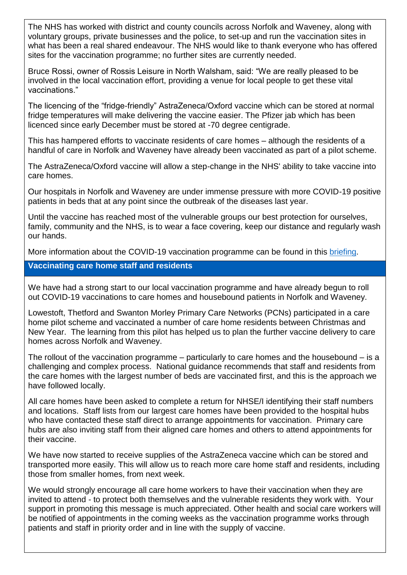The NHS has worked with district and county councils across Norfolk and Waveney, along with voluntary groups, private businesses and the police, to set-up and run the vaccination sites in what has been a real shared endeavour. The NHS would like to thank everyone who has offered sites for the vaccination programme; no further sites are currently needed.

Bruce Rossi, owner of Rossis Leisure in North Walsham, said: "We are really pleased to be involved in the local vaccination effort, providing a venue for local people to get these vital vaccinations."

The licencing of the "fridge-friendly" AstraZeneca/Oxford vaccine which can be stored at normal fridge temperatures will make delivering the vaccine easier. The Pfizer jab which has been licenced since early December must be stored at -70 degree centigrade.

This has hampered efforts to vaccinate residents of care homes – although the residents of a handful of care in Norfolk and Waveney have already been vaccinated as part of a pilot scheme.

The AstraZeneca/Oxford vaccine will allow a step-change in the NHS' ability to take vaccine into care homes.

Our hospitals in Norfolk and Waveney are under immense pressure with more COVID-19 positive patients in beds that at any point since the outbreak of the diseases last year.

Until the vaccine has reached most of the vulnerable groups our best protection for ourselves, family, community and the NHS, is to wear a face covering, keep our distance and regularly wash our hands.

More information about the COVID-19 vaccination programme can be found in this [briefing.](https://www.norfolkandwaveneyccg.nhs.uk/publications/documents/226-covid-vaccine-slidedeck/file)

## **Vaccinating care home staff and residents**

We have had a strong start to our local vaccination programme and have already begun to roll out COVID-19 vaccinations to care homes and housebound patients in Norfolk and Waveney.

Lowestoft, Thetford and Swanton Morley Primary Care Networks (PCNs) participated in a care home pilot scheme and vaccinated a number of care home residents between Christmas and New Year. The learning from this pilot has helped us to plan the further vaccine delivery to care homes across Norfolk and Waveney.

The rollout of the vaccination programme – particularly to care homes and the housebound – is a challenging and complex process. National guidance recommends that staff and residents from the care homes with the largest number of beds are vaccinated first, and this is the approach we have followed locally.

All care homes have been asked to complete a return for NHSE/I identifying their staff numbers and locations. Staff lists from our largest care homes have been provided to the hospital hubs who have contacted these staff direct to arrange appointments for vaccination. Primary care hubs are also inviting staff from their aligned care homes and others to attend appointments for their vaccine.

We have now started to receive supplies of the AstraZeneca vaccine which can be stored and transported more easily. This will allow us to reach more care home staff and residents, including those from smaller homes, from next week.

We would strongly encourage all care home workers to have their vaccination when they are invited to attend - to protect both themselves and the vulnerable residents they work with. Your support in promoting this message is much appreciated. Other health and social care workers will be notified of appointments in the coming weeks as the vaccination programme works through patients and staff in priority order and in line with the supply of vaccine.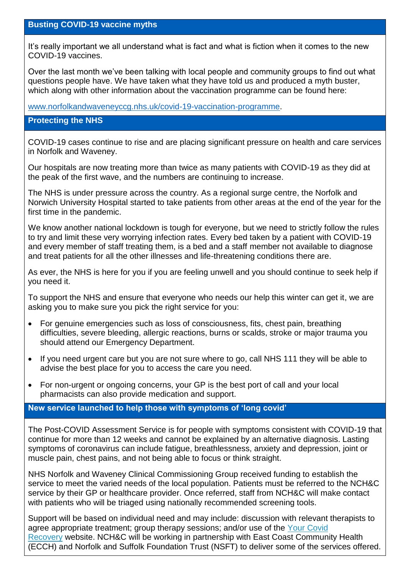It's really important we all understand what is fact and what is fiction when it comes to the new COVID-19 vaccines.

Over the last month we've been talking with local people and community groups to find out what questions people have. We have taken what they have told us and produced a myth buster, which along with other information about the vaccination programme can be found here:

[www.norfolkandwaveneyccg.nhs.uk/covid-19-vaccination-programme.](http://www.norfolkandwaveneyccg.nhs.uk/covid-19-vaccination-programme)

## **Protecting the NHS**

COVID-19 cases continue to rise and are placing significant pressure on health and care services in Norfolk and Waveney.

Our hospitals are now treating more than twice as many patients with COVID-19 as they did at the peak of the first wave, and the numbers are continuing to increase.

The NHS is under pressure across the country. As a regional surge centre, the Norfolk and Norwich University Hospital started to take patients from other areas at the end of the year for the first time in the pandemic.

We know another national lockdown is tough for everyone, but we need to strictly follow the rules to try and limit these very worrying infection rates. Every bed taken by a patient with COVID-19 and every member of staff treating them, is a bed and a staff member not available to diagnose and treat patients for all the other illnesses and life-threatening conditions there are.

As ever, the NHS is here for you if you are feeling unwell and you should continue to seek help if you need it.

To support the NHS and ensure that everyone who needs our help this winter can get it, we are asking you to make sure you pick the right service for you:

- For genuine emergencies such as loss of consciousness, fits, chest pain, breathing difficulties, severe bleeding, allergic reactions, burns or scalds, stroke or major trauma you should attend our Emergency Department.
- If you need urgent care but you are not sure where to go, call NHS 111 they will be able to advise the best place for you to access the care you need.
- For non-urgent or ongoing concerns, your GP is the best port of call and your local pharmacists can also provide medication and support.

## **New service launched to help those with symptoms of 'long covid'**

The Post-COVID Assessment Service is for people with symptoms consistent with COVID-19 that continue for more than 12 weeks and cannot be explained by an alternative diagnosis. Lasting symptoms of coronavirus can include fatigue, breathlessness, anxiety and depression, joint or muscle pain, chest pains, and not being able to focus or think straight.

NHS Norfolk and Waveney Clinical Commissioning Group received funding to establish the service to meet the varied needs of the local population. Patients must be referred to the NCH&C service by their GP or healthcare provider. Once referred, staff from NCH&C will make contact with patients who will be triaged using nationally recommended screening tools.

Support will be based on individual need and may include: discussion with relevant therapists to agree appropriate treatment; group therapy sessions; and/or use of the Your Covid [Recovery](https://www.yourcovidrecovery.nhs.uk/) website. NCH&C will be working in partnership with East Coast Community Health (ECCH) and Norfolk and Suffolk Foundation Trust (NSFT) to deliver some of the services offered.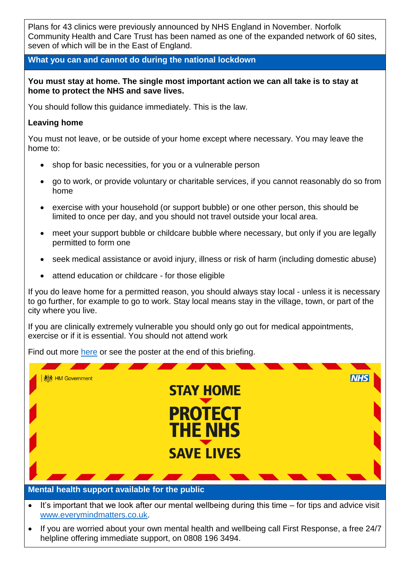Plans for 43 clinics were previously announced by NHS England in November. Norfolk Community Health and Care Trust has been named as one of the expanded network of 60 sites, seven of which will be in the East of England.

## **What you can and cannot do during the national lockdown**

### **You must stay at home. The single most important action we can all take is to stay at home to protect the NHS and save lives.**

You should follow this guidance immediately. This is the law.

## **Leaving home**

You must not leave, or be outside of your home except where necessary. You may leave the home to:

- shop for basic necessities, for you or a vulnerable person
- go to work, or provide voluntary or charitable services, if you cannot reasonably do so from home
- exercise with your household (or support bubble) or one other person, this should be limited to once per day, and you should not travel outside your local area.
- meet your support bubble or childcare bubble where necessary, but only if you are legally permitted to form one
- seek medical assistance or avoid injury, illness or risk of harm (including domestic abuse)
- attend education or childcare for those eligible

If you do leave home for a permitted reason, you should always stay local - unless it is necessary to go further, for example to go to work. Stay local means stay in the village, town, or part of the city where you live.

If you are clinically extremely vulnerable you should only go out for medical appointments, exercise or if it is essential. You should not attend work

Find out more [here](https://www.gov.uk/guidance/national-lockdown-stay-at-home) or see the poster at the end of this briefing.



- It's important that we look after our mental wellbeing during this time for tips and advice visit [www.everymindmatters.co.uk.](http://www.everymindmatters.co.uk/)
- If you are worried about your own mental health and wellbeing call First Response, a free 24/7 helpline offering immediate support, on 0808 196 3494.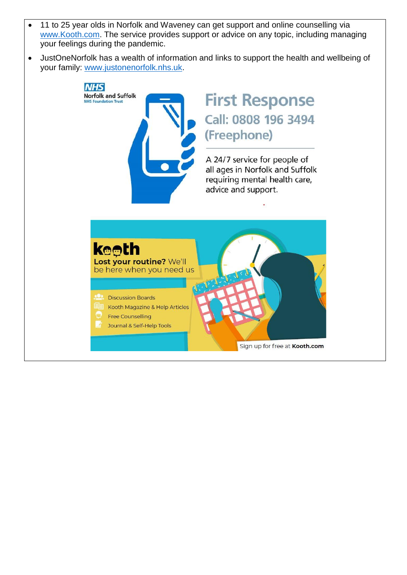- 11 to 25 year olds in Norfolk and Waveney can get support and online counselling via [www.Kooth.com.](http://www.kooth.com/) The service provides support or advice on any topic, including managing your feelings during the pandemic.
- JustOneNorfolk has a wealth of information and links to support the health and wellbeing of your family: [www.justonenorfolk.nhs.uk.](http://www.justonenorfolk.nhs.uk/)

**NHS Norfolk and Suffolk NHS Foundation Trust** 

# **First Response** Call: 0808 196 3494 (Freephone)

A 24/7 service for people of all ages in Norfolk and Suffolk requiring mental health care, advice and support.